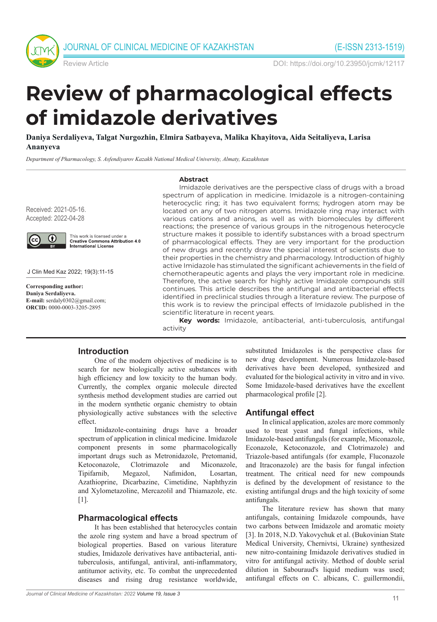



Review Article DOI: https://doi.org/10.23950/jcmk/12117

# **Review of pharmacological effects of imidazole derivatives**

**Daniya Serdaliyeva, Talgat Nurgozhin, Elmira Satbayeva, Malika Khayitova, Aida Seitaliyeva, Larisa Ananyeva** 

*Department of Pharmacology, S. Asfendiyarov Kazakh National Medical University, Almaty, Kazakhstan* 

#### **Abstract**

Received: 2021-05-16. Accepted: 2022-04-28



This work is licensed under a **Creative Commons Attribution 4.0** International License

J Clin Med Kaz 2022; 19(3):11-15

**Corresponding author: Daniya Serdaliyeva. E-mail:** serdaly0302@gmail.com; **ORCID:** 0000-0003-3205-2895

Imidazole derivatives are the perspective class of drugs with a broad spectrum of application in medicine. Imidazole is a nitrogen-containing heterocyclic ring; it has two equivalent forms; hydrogen atom may be located on any of two nitrogen atoms. Imidazole ring may interact with various cations and anions, as well as with biomolecules by different reactions; the presence of various groups in the nitrogenous heterocycle structure makes it possible to identify substances with a broad spectrum of pharmacological effects. They are very important for the production of new drugs and recently draw the special interest of scientists due to their properties in the chemistry and pharmacology. Introduction of highly active Imidazole has stimulated the significant achievements in the field of chemotherapeutic agents and plays the very important role in medicine. Therefore, the active search for highly active Imidazole compounds still continues. This article describes the antifungal and antibacterial effects identified in preclinical studies through a literature review. The purpose of this work is to review the principal effects of Imidazole published in the scientific literature in recent years.

**Key words:** Imidazole, antibacterial, anti-tuberculosis, antifungal activity

## **Introduction**

One of the modern objectives of medicine is to search for new biologically active substances with high efficiency and low toxicity to the human body. Currently, the complex organic molecule directed synthesis method development studies are carried out in the modern synthetic organic chemistry to obtain physiologically active substances with the selective effect.

Imidazole-containing drugs have a broader spectrum of application in clinical medicine. Imidazole component presents in some pharmacologically important drugs such as Metronidazole, Pretomanid, Ketoconazole, Clotrimazole and Miconazole, Tipifarnib, Megazol, Nafimidon, Losartan, Azathioprine, Dicarbazine, Cimetidine, Naphthyzin and Xylometazoline, Mercazolil and Thiamazole, etc.  $[1]$ .

#### **Pharmacological effects**

It has been established that heterocycles contain the azole ring system and have a broad spectrum of biological properties. Based on various literature studies, Imidazole derivatives have antibacterial, antituberculosis, antifungal, antiviral, anti-inflammatory, antitumor activity, etc. To combat the unprecedented diseases and rising drug resistance worldwide,

substituted Imidazoles is the perspective class for new drug development. Numerous Imidazole-based derivatives have been developed, synthesized and evaluated for the biological activity in vitro and in vivo. Some Imidazole-based derivatives have the excellent pharmacological profile [2].

#### **Antifungal effect**

In clinical application, azoles are more commonly used to treat yeast and fungal infections, while Imidazole-based antifungals (for example, Miconazole, Econazole, Ketoconazole, and Clotrimazole) and Triazole-based antifungals (for example, Fluconazole and Itraconazole) are the basis for fungal infection treatment. The critical need for new compounds is defined by the development of resistance to the existing antifungal drugs and the high toxicity of some antifungals.

The literature review has shown that many antifungals, containing Imidazole compounds, have two carbons between Imidazole and aromatic moiety [3]. In 2018, N.D. Yakovychuk et al. (Bukovinian State Medical University, Chernivtsi, Ukraine) synthesized new nitro-containing Imidazole derivatives studied in vitro for antifungal activity. Method of double serial dilution in Sabouraud's liquid medium was used; antifungal effects on C. albicans, C. guillermondii,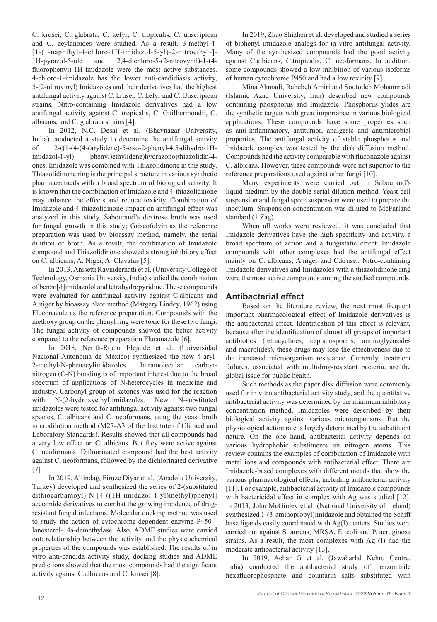C. krusei, C. glabrata, C. kefyr, C. tropicalis, C. unscripicua and C. zeylanoides were studied. As a result, 3-methyl-4- [1-(1-naphthyl-4-chloro-1H-imidazol-5-yl)-2-nitroethyl-]- 1H-pyrazol-5-ole and 2,4-dichloro-5-(2-nitrovynil)-1-(4 fluorophenyl)-1H-imidazole were the most active substances. 4-chloro-1-imidazole has the lower anti-candidiasis activity, 5-(2-nitrovinyl) Imidazoles and their derivatives had the highest antifungal activity against C. krusei, C. kefyr and C. Unscripicua strains. Nitro-containing Imidazole derivatives had a low antifungal activity against C. tropicalis, C. Guilliermondii, C. albicans, and C. glabrata strains [4].

In 2012, N.C. Desai et al. (Bhavnagar University, India) conducted a study to determine the antifungal activity of 2-((1-(4-(4-(arylidene)-5-oxo-2-phenyl-4,5-dihydro-1Himidazol-1-yl) phenyl)ethylidene)hydrazono)thiazolidin-4 ones. Imidazole was combined with Thiazolidinone in this study. Thiazolidinone ring is the principal structure in various synthetic pharmaceuticals with a broad spectrum of biological activity. It is known that the combination of Imidazole and 4-thiazolidinone may enhance the effects and reduce toxicity. Combination of Imidazole and 4-thiazolidinone impact on antifungal effect was analyzed in this study. Sabouraud's dextrose broth was used for fungal growth in this study; Griseofulvin as the reference preparation was used by bioassay method, namely, the serial dilution of broth. As a result, the combination of Imidazole compound and Thiazolidinone showed a strong inhibitory effect on C. albicans, A. Niger, A. Clavatus [5].

In 2013, Anisetti Ravindernath et al. (University College of Technology, Osmania University, India) studied the combination of benzo[d]imidazolol and tetrahydropyridine. These compounds were evaluated for antifungal activity against C.albicans and A.niger by bioassay plate method (Margery Lindey, 1962) using Fluconazole as the reference preparation. Compounds with the methoxy group on the phenyl ring were toxic for these two fungi. The fungal activity of compounds showed the better activity compared to the reference preparation Fluconazole [6].

In 2018, Nerith-Rocio Elejalde et al. (Universidad Nacional Autonoma de Mexico) synthesized the new 4-aryl-2-methyl-N-phenacylimidazoles. Intramolecular carbonnitrogen (C-N) bonding is of important interest due to the broad spectrum of applications of N-heterocycles in medicine and industry. Carbonyl group of ketones was used for the reaction with N-(2-hydroxyethyl)imidazoles. New N-substituted imidazoles were tested for antifungal activity against two fungal species, C. albicans and C. neoformans, using the yeast broth microdilution method (M27-A3 of the Institute of Clinical and Laboratory Standards). Results showed that all compounds had a very low effect on C. albicans. But they were active against C. neoformans. Difluorinated compound had the best activity against C. neoformans, followed by the dichlorinated derivative [7].

In 2019, Altindag, Firuze Diyar et al. (Anadolu University, Turkey) developed and synthesized the series of 2-(substituted dithiocarbamoyl)-N-[4-((1H-imidazol-1-yl)methyl)phenyl] acetamide derivatives to combat the growing incidence of drugresistant fungal infections. Molecular docking method was used to study the action of cytochrome-dependent enzyme P450 lanosterol-14a-demethylase. Also, ADME studies were carried out; relationship between the activity and the physicochemical properties of the compounds was established. The results of in vitro anti-candida activity study, docking studies and ADME predictions showed that the most compounds had the significant activity against C.albicans and C. krusei [8].

In 2019, Zhao Shizhen et al. developed and studied a series of biphenyl imidazole analogs for in vitro antifungal activity. Many of the synthesized compounds had the good activity against C.albicans, C.tropicalis, C. neoformans. In addition, some compounds showed a low inhibition of various isoforms of human cytochrome P450 and had a low toxicity [9].

Mina Ahmadi, Rahebeh Amiri and Soutodeh Mohammadi (Islamic Azad University, Iran) described new compounds containing phosphorus and Imidazole. Phosphorus ylides are the synthetic targets with great importance in various biological applications. These compounds have some properties such as anti-inflammatory, antitumor, analgesic and antimicrobial properties. The antifungal activity of stable phosphorus and Imidazole complex was tested by the disk diffusion method. Compounds had the activity comparable with fluconazole against C. albicans. However, these compounds were not superior to the reference preparations used against other fungi [10].

Many experiments were carried out in Sabouraud's liquid medium by the double serial dilution method. Yeast cell suspension and fungal spore suspension were used to prepare the inoculum. Suspension concentration was diluted to McFarland standard (1 Zag).

When all works were reviewed, it was concluded that Imidazole derivatives have the high specificity and activity, a broad spectrum of action and a fungistatic effect. Imidazole compounds with other complexes had the antifungal effect mainly on C. albicans, A.niger and C.krusei. Nitro-containing Imidazole derivatives and Imidazoles with a thiazolidinone ring were the most active compounds among the studied compounds.

## **Antibacterial effect**

Based on the literature review, the next most frequent important pharmacological effect of Imidazole derivatives is the antibacterial effect. Identification of this effect is relevant, because after the identification of almost all groups of important antibiotics (tetracyclines, cephalosporins, aminoglycosides and macrolides), these drugs may lose the effectiveness due to the increased microorganism resistance. Currently, treatment failures, associated with multidrug-resistant bacteria, are the global issue for public health.

Such methods as the paper disk diffusion were commonly used for in vitro antibacterial activity study, and the quantitative antibacterial activity was determined by the minimum inhibitory concentration method. Imidazoles were described by their biological activity against various microorganisms. But the physiological action rate is largely determined by the substituent nature. On the one hand, antibacterial activity depends on various hydrophobic substituents on nitrogen atoms. This review contains the examples of combination of Imidazole with metal ions and compounds with antibacterial effect. There are Imidazole-based complexes with different metals that show the various pharmacological effects, including antibacterial activity [11]. For example, antibacterial activity of Imidazole compounds with bactericidal effect in complex with Ag was studied [12]. In 2013, John McGinley et al. (National University of Ireland) synthesized 1-(3-aminopropyl)imidazole and obtained the Schiff base ligands easily coordinated with Ag(I) centers. Studies were carried out against S. aureus, MRSA, E. coli and P. aeruginosa strains. As a result, the most complexes with Ag (I) had the moderate antibacterial activity [13].

In 2019, Achar G et al. (Jawaharlal Nehru Centre, India) conducted the antibacterial study of benzonitrile hexafluorophosphate and coumarin salts substituted with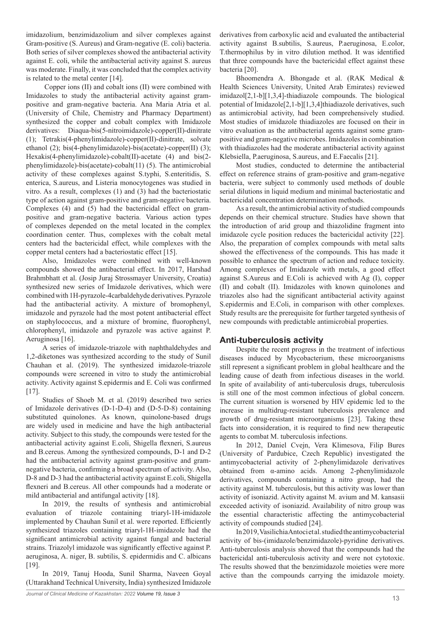imidazolium, benzimidazolium and silver complexes against Gram-positive (S. Aureus) and Gram-negative (E. coli) bacteria. Both series of silver complexes showed the antibacterial activity against E. coli, while the antibacterial activity against S. aureus was moderate. Finally, it was concluded that the complex activity is related to the metal center [14].

 Copper ions (II) and cobalt ions (II) were combined with Imidazoles to study the antibacterial activity against grampositive and gram-negative bacteria. Ana Maria Atria et al. (University of Chile, Chemistry and Pharmacy Department) synthesized the copper and cobalt complex with Imidazole derivatives: Diaqua-bis(5-nitroimidazole)-copper(II)-dinitrate (1); Tetrakis(4-phenylimidazole)-copper(II)-dinitrate, solvate ethanol (2); bis(4-phenylimidazole)-bis(acetate)-copper(II) (3); Hexakis(4-phenylimidazole)-cobalt(II)-acetate (4) and bis(2 phenylimidazole)-bis(acetate)-cobalt(11) (5). The antimicrobial activity of these complexes against S.typhi, S.enteritidis, S. enterica, S.aureus, and Listeria monocytogenes was studied in vitro. As a result, complexes (1) and (3) had the bacteriostatic type of action against gram-positive and gram-negative bacteria. Complexes (4) and (5) had the bactericidal effect on grampositive and gram-negative bacteria. Various action types of complexes depended on the metal located in the complex coordination center. Thus, complexes with the cobalt metal centers had the bactericidal effect, while complexes with the copper metal centers had a bacteriostatic effect [15].

Also, Imidazoles were combined with well-known compounds showed the antibacterial effect. In 2017, Harshad Brahmbhatt et al. (Josip Juraj Strossmayer University, Croatia) synthesized new series of Imidazole derivatives, which were combined with 1H-pyrazole-4carbaldehyde derivatives. Pyrazole had the antibacterial activity. A mixture of bromophenyl, imidazole and pyrazole had the most potent antibacterial effect on staphylococcus, and a mixture of bromine, fluorophenyl, chlorophenyl, imidazole and pyrazole was active against P. Aeruginosa [16].

A series of imidazole-triazole with naphthaldehydes and 1,2-diketones was synthesized according to the study of Sunil Chauhan et al. (2019). The synthesized imidazole-triazole compounds were screened in vitro to study the antimicrobial activity. Activity against S.epidermis and E. Coli was confirmed [17].

Studies of Shoeb M. et al. (2019) described two series of Imidazole derivatives (D-1-D-4) and (D-5-D-8) containing substituted quinolones. As known, quinolone-based drugs are widely used in medicine and have the high antibacterial activity. Subject to this study, the compounds were tested for the antibacterial activity against E.coli, Shigella flexneri, S.aureus and B.cereus. Among the synthesized compounds, D-1 and D-2 had the antibacterial activity against gram-positive and gramnegative bacteria, confirming a broad spectrum of activity. Also, D-8 and D-3 had the antibacterial activity against E.coli, Shigella flexneri and B.cereus. All other compounds had a moderate or mild antibacterial and antifungal activity [18].

In 2019, the results of synthesis and antimicrobial evaluation of triazole containing triaryl-1H-imidazole implemented by Chauhan Sunil et al. were reported. Efficiently synthesized triazoles containing triaryl-1H-imidazole had the significant antimicrobial activity against fungal and bacterial strains. Triazolyl imidazole was significantly effective against P. aeruginosa, A. niger, B. subtilis, S. epidermidis and C. albicans [19].

In 2019, Tanuj Hooda, Sunil Sharma, Naveen Goyal (Uttarakhand Technical University, India) synthesized Imidazole derivatives from carboxylic acid and evaluated the antibacterial activity against B.subtilis, S.aureus, P.aeruginosa, E.color, T.thermophilus by in vitro dilution method. It was identified that three compounds have the bactericidal effect against these bacteria [20].

Bhoomendra A. Bhongade et al. (RAK Medical & Health Sciences University, United Arab Emirates) reviewed imidazol[2,1-b][1,3,4]-thiadiazole compounds. The biological potential of Imidazole[2,1-b][1,3,4]thiadiazole derivatives, such as antimicrobial activity, had been comprehensively studied. Most studies of imidazole thiadiazoles are focused on their in vitro evaluation as the antibacterial agents against some grampositive and gram-negative microbes. Imidazoles in combination with thiadiazoles had the moderate antibacterial activity against Klebsiella, P.aeruginosa, S.aureus, and E.Faecalis [21].

Most studies, conducted to determine the antibacterial effect on reference strains of gram-positive and gram-negative bacteria, were subject to commonly used methods of double serial dilutions in liquid medium and minimal bacteriostatic and bactericidal concentration determination methods.

As a result, the antimicrobial activity of studied compounds depends on their chemical structure. Studies have shown that the introduction of arid group and thiazolidine fragment into imidazole cycle position reduces the bactericidal activity [22]. Also, the preparation of complex compounds with metal salts showed the effectiveness of the compounds. This has made it possible to enhance the spectrum of action and reduce toxicity. Among complexes of Imidazole with metals, a good effect against S.Aureus and E.Coli is achieved with Ag (I), copper (II) and cobalt (II). Imidazoles with known quinolones and triazoles also had the significant antibacterial activity against S.epidermis and E.Coli, in comparison with other complexes. Study results are the prerequisite for further targeted synthesis of new compounds with predictable antimicrobial properties.

### **Anti-tuberculosis activity**

Despite the recent progress in the treatment of infectious diseases induced by Mycobacterium, these microorganisms still represent a significant problem in global healthcare and the leading cause of death from infectious diseases in the world. In spite of availability of anti-tuberculosis drugs, tuberculosis is still one of the most common infectious of global concern. The current situation is worsened by HIV epidemic led to the increase in multidrug-resistant tuberculosis prevalence and growth of drug-resistant microorganisms [23]. Taking these facts into consideration, it is required to find new therapeutic agents to combat M. tuberculosis infections.

In 2012, Daniel Cvejn, Vera Klimesova, Filip Bures (University of Pardubice, Czech Republic) investigated the antimycobacterial activity of 2-phenylimidazole derivatives obtained from α-amino acids. Among 2-phenylimidazole derivatives, compounds containing a nitro group, had the activity against M. tuberculosis, but this activity was lower than activity of isoniazid. Activity against M. avium and M. kansasii exceeded activity of isoniazid. Availability of nitro group was the essential characteristic affecting the antimycobacterial activity of compounds studied [24].

In 2019, Vasilichia Antoci et al. studied the antimycobacterial activity of bis-(imidazole/benzimidazole)-pyridine derivatives. Anti-tuberculosis analysis showed that the compounds had the bactericidal anti-tuberculosis activity and were not cytotoxic. The results showed that the benzimidazole moieties were more active than the compounds carrying the imidazole moiety.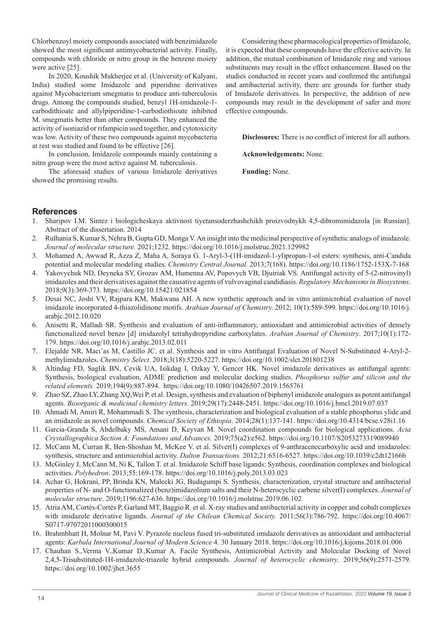Chlorbenzoyl moiety compounds associated with benzimidazole showed the most significant antimycobacterial activity. Finally, compounds with chloride or nitro group in the benzene moiety were active [25].

In 2020, Koushik Mukherjee et al. (University of Kalyani, India) studied some Imidazole and piperidine derivatives against Mycobacterium smegmatis to produce anti-tuberculosis drugs. Among the compounds studied, benzyl 1H-imidazole-1 carbodithioate and allylpiperidine-1-carbodiothioate inhibited M. smegmatis better than other compounds. They enhanced the activity of isoniazid or rifampicin used together, and cytotoxicity was low. Activity of these two compounds against mycobacteria at rest was studied and found to be effective [26].

In conclusion, Imidazole compounds mainly containing a nitro group were the most active against M. tuberculosis.

The aforesaid studies of various Imidazole derivatives showed the promising results.

Considering these pharmacological properties of Imidazole, it is expected that these compounds have the effective activity. In addition, the mutual combination of Imidazole ring and various substituents may result in the effect enhancement. Based on the studies conducted in recent years and confirmed the antifungal and antibacterial activity, there are grounds for further study of Imidazole derivatives. In perspective, the addition of new compounds may result in the development of safer and more effective compounds.

**Disclosures:** There is no conflict of interest for all authors.

**Acknowledgements:** None.

**Funding:** None.

## **References**

- 1. Sharipov I.M. Sintez i biologicheskaya aktivnost tiyetansoderzhashchikh proizvodnykh 4,5-dibromimidazola [in Russian]. Abstract of the dissertation. 2014
- 2. Rulhania S, Kumar S, Nehra B, Gupta GD, Monga V. An insight into the medicinal perspective of synthetic analogs of imidazole. *Journal of molecular structure.* 2021;1232. https://doi.org/10.1016/j.molstruc.2021.129982
- 3. Mohamed A, Awwad R, Azza Z, Maha A, Soraya G. 1-Aryl-3-(1H-imidazol-1-yl)propan-1-ol esters: synthesis, anti-Candida potential and molecular modeling studies. *Chemistry Central Journal.* 2013;7(168). https://doi.org/10.1186/1752-153X-7-168
- 4. Yakovychuk ND, Deyneka SY, Grozav AM, Humenna AV, Popovych VB, Djuiriak VS. Аntifungal activity of 5-(2-nitrovinyl) imidazoles and their derivatives against the causative agents of vulvovaginal candidiasis. *Regulatory Mechanisms in Biosystems*. 2018;9(3):369-373. https://doi.org/10.15421/021854
- 5. Desai NC, Joshi VV, Rajpara KM, Makwana AH. A new synthetic approach and in vitro antimicrobial evaluation of novel imidazole incorporated 4-thiazolidinone motifs. *Arabian Journal of Chemistry.* 2012; 10(1):589-599. https://doi.org/10.1016/j. arabjc.2012.10.020
- 6. Anisetti R, Malladi SR. Synthesis and evaluation of anti-inflammatory, antioxidant and antimicrobial activities of densely functionalized novel benzo [d] imidazolyl tetrahydropyridine carboxylates. *Arabian Journal of Chemistry*. 2017;10(1):172- 179. https://doi.org/10.1016/j.arabjc.2013.02.011
- 7. Elejalde NR, Macı´as M, Castillo JC. et al. Synthesis and in vitro Antifungal Evaluation of Novel N-Substituted 4-Aryl-2 methylimidazoles. *Chemistry Select.* 2018;3(18):5220-5227. https://doi.org/10.1002/slct.201801238
- 8. Altindag FD, Saglik BN, Cevik UA, Isikdag I, Ozkay Y, Gencer HK. Novel imidazole derivatives as antifungal agents: Synthesis, biological evaluation, ADME prediction and molecular docking studies. *Phosphorus sulfur and silicon and the related elements.* 2019;194(9):887-894. https://doi.org/10.1080/10426507.2019.1565761
- 9. Zhao SZ, Zhao LY, Zhang XQ,Wei P. et al. Design, synthesis and evaluation of biphenyl imidazole analogues as potent antifungal agents. *Bioorganic & medicinal chemistry letters.* 2019;29(17):2448-2451. https://doi.org/10.1016/j.bmcl.2019.07.037
- 10. Ahmadi M, Amiri R, Mohammadi S. The synthesis, characterization and biological evaluation of a stable phosphorus ylide and an imidazole as novel compounds. *Chemical Society of Ethiopia*. 2014;28(1):137-141. https://doi.org/10.4314/bcse.v28i1.16
- 11. Garcia-Granda S, Abdelbaky MS, Amani D, Keyvan M. Novel coordination compounds for biological applications. *Acta Crystallographica Section A: Foundations and Advances.* 2019;75(a2):e562. https://doi.org/10.1107/S2053273319089940
- 12. McCann M, Curran R, Ben-Shoshan M, McKee V. et al. Silver(I) complexes of 9-anthracenecarboxylic acid and imidazoles: synthesis, structure and antimicrobial activity. *Dalton Transactions.* 2012;21:6516-6527. https://doi.org/10.1039/c2dt12166b
- 13. McGinley J, McCann M, Ni K, Tallon T. et al. Imidazole Schiff base ligands: Synthesis, coordination complexes and biological activities. *Polyhedron*. 2013;55:169-178. https://doi.org/10.1016/j.poly.2013.03.023
- 14. Achar G, Hokrani, PP, Brinda KN, Malecki JG, Budagumpi S. Synthesis, characterization, crystal structure and antibacterial properties of N- and O-functionalized (benz)imidazolium salts and their N-heterocyclic carbene silver(I) complexes. *Journal of molecular structure*. 2019;1196:627-636. https://doi.org/10.1016/j.molstruc.2019.06.102
- 15. Аtria AM, Сortés-Сortés P, Garland MT, Baggio R. et al. X-ray studies and antibacterial activity in copper and cobalt complexes with imidazole derivative ligands. *Journal of the Chilean Chemical Society.* 2011;56(3):786-792. https://doi.org/10.4067/ S0717-97072011000300015
- 16. Brahmbhatt H, Molnar M, Pavi V. Pyrazole nucleus fused tri-substituted imidazole derivatives as antioxidant and antibacterial agents: *Karbala International Journal of Modern Science* 4. 30 January 2018. https://doi.org/10.1016/j.kijoms.2018.01.006
- 17. Chauhan S.,Verma V.,Kumar D.,Kumar A. Facile Synthesis, Antimicrobial Activity and Molecular Docking of Novel 2,4,5-Trisubstituted-1H-imidazole-triazole hybrid compounds. *Journal of heterocyclic chemistry*. 2019;56(9):2571-2579. https://doi.org/10.1002/jhet.3655